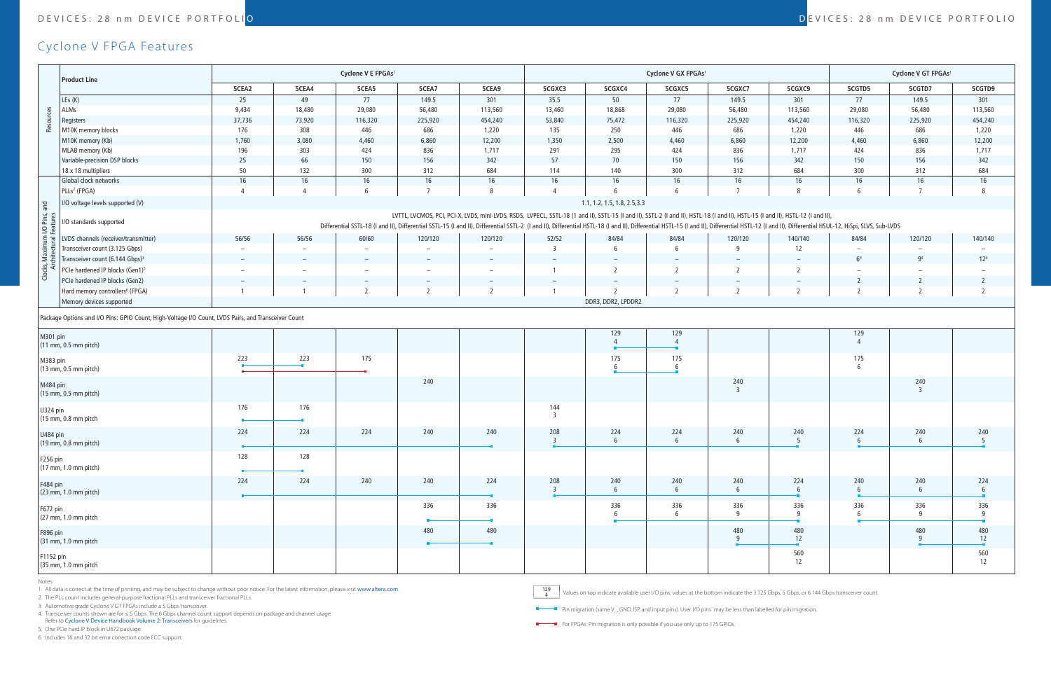## DEVICES: 28 nm DEVICE PORTFOLI<mark>O de contra contra contra contra contra contra contra contra contra contra contra contra contra contra contra contra contra contra contra contra contra contra contra contra contra contra cont</mark>

## Cyclone V FPGA Features

|                                                                                                     | <b>Product Line</b>                         | Cyclone V E FPGAs <sup>1</sup>                                                                                                                                                                                                                                                                                                                                                                                                                             |                          |                          |                |                          | Cyclone V GX FPGAs <sup>1</sup> |                          |                        |                                 |                          | Cyclone V GT FPGAs <sup>1</sup> |                        |                          |
|-----------------------------------------------------------------------------------------------------|---------------------------------------------|------------------------------------------------------------------------------------------------------------------------------------------------------------------------------------------------------------------------------------------------------------------------------------------------------------------------------------------------------------------------------------------------------------------------------------------------------------|--------------------------|--------------------------|----------------|--------------------------|---------------------------------|--------------------------|------------------------|---------------------------------|--------------------------|---------------------------------|------------------------|--------------------------|
|                                                                                                     |                                             | 5CEA2                                                                                                                                                                                                                                                                                                                                                                                                                                                      | 5CEA4                    | 5CEA5                    | 5CEA7          | 5CEA9                    | 5CGXC3                          | 5CGXC4                   | 5CGXC5                 | 5CGXC7                          | 5CGXC9                   | 5CGTD5                          | 5CGTD7                 | 5CGTD9                   |
|                                                                                                     | LEs (K)                                     | 25                                                                                                                                                                                                                                                                                                                                                                                                                                                         | 49                       | 77                       | 149.5          | 301                      | 35.5                            | 50                       | 77                     | 149.5                           | 301                      | 77                              | 149.5                  | 301                      |
| Res                                                                                                 | ALMs                                        | 9,434                                                                                                                                                                                                                                                                                                                                                                                                                                                      | 18,480                   | 29,080                   | 56,480         | 113,560                  | 13,460                          | 18,868                   | 29,080                 | 56,480                          | 113,560                  | 29,080                          | 56,480                 | 113,560                  |
|                                                                                                     | Registers                                   | 37,736                                                                                                                                                                                                                                                                                                                                                                                                                                                     | 73,920                   | 116,320                  | 225,920        | 454,240                  | 53,840                          | 75,472                   | 116,320                | 225,920                         | 454,240                  | 116,320                         | 225,920                | 454,240                  |
|                                                                                                     | M10K memory blocks                          | 176                                                                                                                                                                                                                                                                                                                                                                                                                                                        | 308                      | 446                      | 686            | 1,220                    | 135                             | 250                      | 446                    | 686                             | 1,220                    | 446                             | 686                    | 1,220                    |
|                                                                                                     | M10K memory (Kb)                            | 1,760                                                                                                                                                                                                                                                                                                                                                                                                                                                      | 3,080                    | 4,460                    | 6,860          | 12,200                   | 1,350                           | 2,500                    | 4,460                  | 6,860                           | 12,200                   | 4,460                           | 6,860                  | 12,200                   |
|                                                                                                     | MLAB memory (Kb)                            | 196                                                                                                                                                                                                                                                                                                                                                                                                                                                        | 303                      | 424                      | 836            | 1,717                    | 291                             | 295                      | 424                    | 836                             | 1,717                    | 424                             | 836                    | 1,717                    |
|                                                                                                     | Variable-precision DSP blocks               | $25\,$                                                                                                                                                                                                                                                                                                                                                                                                                                                     | 66                       | 150                      | 156            | 342                      | 57                              | 70                       | 150                    | 156                             | 342                      | 150                             | 156                    | 342                      |
|                                                                                                     | 18 x 18 multipliers                         | 50                                                                                                                                                                                                                                                                                                                                                                                                                                                         | 132                      | 300                      | 312            | 684                      | 114                             | 140                      | 300                    | 312                             | 684                      | 300                             | 312                    | 684                      |
|                                                                                                     | Global clock networks                       | 16                                                                                                                                                                                                                                                                                                                                                                                                                                                         | 16                       | 16                       | 16             | 16                       | 16                              | 16                       | 16                     | 16                              | 16                       | 16                              | 16                     | 16                       |
|                                                                                                     | PLLs <sup>2</sup> (FPGA)                    | $\overline{4}$                                                                                                                                                                                                                                                                                                                                                                                                                                             | $\overline{4}$           | 6                        | $\overline{7}$ | 8                        | 4                               | 6                        | 6                      | $\overline{7}$                  | 8                        | - 6                             | $\overline{7}$         | 8                        |
| and                                                                                                 | I/O voltage levels supported (V)            | 1.1, 1.2, 1.5, 1.8, 2.5, 3.3                                                                                                                                                                                                                                                                                                                                                                                                                               |                          |                          |                |                          |                                 |                          |                        |                                 |                          |                                 |                        |                          |
| I/O Pins,<br>Features                                                                               | I/O standards supported                     | LVTTL, LVCMOS, PCI, PCI-X, LVDS, mini-LVDS, RSDS, LVPECL, SSTL-18 (1 and II), SSTL-15 (I and II), SSTL-2 (I and II), HSTL-18 (I and II), HSTL-15 (I and II), HSTL-12 (I and II), HSTL-12 (I and II), HSTL-12 (I and II),<br>Differential SSTL-18 (I and II), Differential SSTL-15 (I and II), Differential SSTL-2 (I and II), Differential HSTL-18 (I and II), Differential HSTL-18 (I and II), Differential HSTL-15 (I and II), Differential HSTL-18 (I a |                          |                          |                |                          |                                 |                          |                        |                                 |                          |                                 |                        |                          |
|                                                                                                     | LVDS channels (receiver/transmitter)        | 56/56                                                                                                                                                                                                                                                                                                                                                                                                                                                      | 56/56                    | 60/60                    | 120/120        | 120/120                  | 52/52                           | 84/84                    | 84/84                  | 120/120                         | 140/140                  | 84/84                           | 120/120                | 140/140                  |
|                                                                                                     | Transceiver count (3.125 Gbps)              |                                                                                                                                                                                                                                                                                                                                                                                                                                                            |                          |                          |                |                          | $\overline{3}$                  | 6                        | 6                      | -9                              | 12                       |                                 |                        | $\overline{\phantom{m}}$ |
| i≊ "                                                                                                | Transceiver count (6.144 Gbps) <sup>3</sup> | $\overline{\phantom{a}}$                                                                                                                                                                                                                                                                                                                                                                                                                                   | $\overline{\phantom{a}}$ |                          |                | $\overline{\phantom{a}}$ |                                 | $\overline{\phantom{a}}$ |                        | $\overline{\phantom{a}}$        | $\qquad \qquad -$        | 6 <sup>4</sup>                  | 9 <sup>4</sup>         | 12 <sup>4</sup>          |
| Clocks, I<br>Arc                                                                                    | PCIe hardened IP blocks (Gen1) <sup>5</sup> | $\equiv$                                                                                                                                                                                                                                                                                                                                                                                                                                                   | $\overline{\phantom{m}}$ | $\overline{\phantom{a}}$ |                | -                        | -1                              | $\overline{2}$           | 2                      | <sup>2</sup>                    | $\overline{2}$           |                                 |                        |                          |
|                                                                                                     | PCIe hardened IP blocks (Gen2)              | $\overline{\phantom{a}}$                                                                                                                                                                                                                                                                                                                                                                                                                                   |                          |                          |                | $\qquad \qquad -$        | $\overline{\phantom{a}}$        | $\overline{\phantom{a}}$ |                        | $\hspace{0.1mm}-\hspace{0.1mm}$ | $\overline{\phantom{m}}$ |                                 | 2                      | $\overline{2}$           |
|                                                                                                     | Hard memory controllers <sup>6</sup> (FPGA) |                                                                                                                                                                                                                                                                                                                                                                                                                                                            |                          | $\overline{2}$           |                | $\overline{2}$           |                                 | $\overline{2}$           | $\mathcal{L}$          | $\overline{z}$                  | $\overline{2}$           |                                 | $\overline{z}$         | 2                        |
|                                                                                                     | Memory devices supported                    |                                                                                                                                                                                                                                                                                                                                                                                                                                                            |                          |                          |                |                          |                                 | DDR3, DDR2, LPDDR2       |                        |                                 |                          |                                 |                        |                          |
| Package Options and I/O Pins: GPIO Count, High-Voltage I/O Count, LVDS Pairs, and Transceiver Count |                                             |                                                                                                                                                                                                                                                                                                                                                                                                                                                            |                          |                          |                |                          |                                 |                          |                        |                                 |                          |                                 |                        |                          |
| M301 pin<br>(11 mm, 0.5 mm pitch)                                                                   |                                             |                                                                                                                                                                                                                                                                                                                                                                                                                                                            |                          |                          |                |                          |                                 | 129<br>$\Delta$          | 129<br>$\overline{4}$  |                                 |                          | 129                             |                        |                          |
| M383 pin<br>$(13$ mm, 0.5 mm pitch)                                                                 |                                             | 223                                                                                                                                                                                                                                                                                                                                                                                                                                                        | 223                      | 175                      |                |                          |                                 | 175<br>$6\overline{6}$   | 175                    |                                 |                          | 175                             |                        |                          |
| M484 pin<br>(15 mm, 0.5 mm pitch)                                                                   |                                             |                                                                                                                                                                                                                                                                                                                                                                                                                                                            |                          |                          | 240            |                          |                                 |                          |                        | 240<br>$\overline{3}$           |                          |                                 | 240<br>$\overline{3}$  |                          |
| U324 pin<br>(15 mm, 0.8 mm pitch                                                                    |                                             | 176                                                                                                                                                                                                                                                                                                                                                                                                                                                        | 176                      |                          |                |                          | 144<br>$\overline{3}$           |                          |                        |                                 |                          |                                 |                        |                          |
| U484 pin<br>$(19$ mm, 0.8 mm pitch)                                                                 |                                             | 224                                                                                                                                                                                                                                                                                                                                                                                                                                                        | 224                      | 224                      | 240            | 240                      | 208<br>3                        | 224<br>6                 | 224<br>6               | 240<br>6                        | 240<br>-5                | 224                             | 240<br>6               | 240<br>- 5               |
| F256 pin<br>$(17$ mm, 1.0 mm pitch)                                                                 |                                             | 128                                                                                                                                                                                                                                                                                                                                                                                                                                                        | 128                      |                          |                |                          |                                 |                          |                        |                                 |                          |                                 |                        |                          |
| F484 pin<br>(23 mm, 1.0 mm pitch)                                                                   |                                             | 224                                                                                                                                                                                                                                                                                                                                                                                                                                                        | 224                      | 240                      | 240            | 224                      | 208<br>$\overline{3}$           | 240<br>6                 | 240<br>6               | 240<br>6                        | 224<br>6                 | 240<br>6                        | 240<br>$6\phantom{.}6$ | 224<br>6                 |
| F672 pin<br>(27 mm, 1.0 mm pitch                                                                    |                                             |                                                                                                                                                                                                                                                                                                                                                                                                                                                            |                          |                          | 336            | 336                      |                                 | 336<br>6                 | 336<br>$6\overline{6}$ | 336<br>9                        | 336<br>9                 | 336                             | 336<br>9               | 336<br>9                 |
| F896 pin<br>(31 mm, 1.0 mm pitch                                                                    |                                             |                                                                                                                                                                                                                                                                                                                                                                                                                                                            |                          |                          | 480            | 480                      |                                 |                          |                        | 480<br>q                        | 480<br>12                |                                 | 480<br>9               | 480<br>12                |
| F1152 pin<br>(35 mm, 1.0 mm pitch                                                                   |                                             |                                                                                                                                                                                                                                                                                                                                                                                                                                                            |                          |                          |                |                          |                                 |                          |                        |                                 | 560<br>12                |                                 |                        | 560<br>12                |

Notes:

1. All data is correct at the time of printing, and may be subject to change without prior notice. For the latest information, please visit www.altera.com.

2. The PLL count includes general-purpose fractional PLLs and transceiver fractional PLLs.

3. Automotive grade Cyclone V GT FPGAs include a 5 Gbps transceiver.

4. Transceiver counts shown are for ≤ 5 Gbps. The 6 Gbps channel count support depends on package and channel usage.

Refer to [Cyclone V Device Handbook Volume 2: Transceivers](https://www.altera.com/products/fpga/cyclone-series/cyclone-v/support.html#Cyclone-V-Device-Handbook--Volume-2--Transceivers) for guidelines.

5. One PCIe hard IP block in U672 package.

6. Includes 16 and 32 bit error correction code ECC support.

129 Values on top indicate available user I/O pins; values at the bottom indicate the 3.125 Gbps, 5 Gbps, or 6.144 Gbps transceiver count.

**Pin migration (same V<sub>cc</sub>, GND, ISP, and input pins). User I/O pins may be less than labelled for pin migration.** 

For FPGAs: Pin migration is only possible if you use only up to 175 GPIOs.